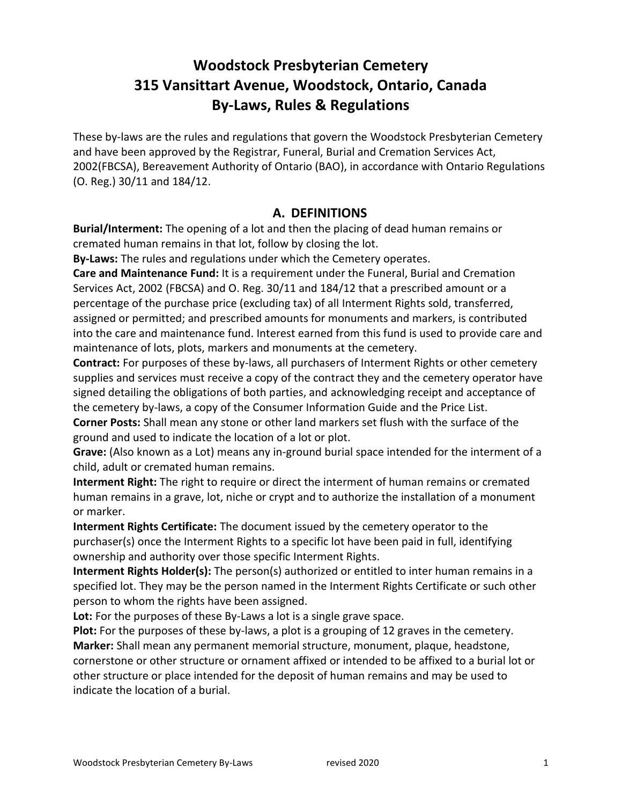# **Woodstock Presbyterian Cemetery 315 Vansittart Avenue, Woodstock, Ontario, Canada By-Laws, Rules & Regulations**

These by-laws are the rules and regulations that govern the Woodstock Presbyterian Cemetery and have been approved by the Registrar, Funeral, Burial and Cremation Services Act, 2002(FBCSA), Bereavement Authority of Ontario (BAO), in accordance with Ontario Regulations (O. Reg.) 30/11 and 184/12.

#### **A. DEFINITIONS**

**Burial/Interment:** The opening of a lot and then the placing of dead human remains or cremated human remains in that lot, follow by closing the lot.

**By-Laws:** The rules and regulations under which the Cemetery operates.

**Care and Maintenance Fund:** It is a requirement under the Funeral, Burial and Cremation Services Act, 2002 (FBCSA) and O. Reg. 30/11 and 184/12 that a prescribed amount or a percentage of the purchase price (excluding tax) of all Interment Rights sold, transferred, assigned or permitted; and prescribed amounts for monuments and markers, is contributed into the care and maintenance fund. Interest earned from this fund is used to provide care and maintenance of lots, plots, markers and monuments at the cemetery.

**Contract:** For purposes of these by-laws, all purchasers of Interment Rights or other cemetery supplies and services must receive a copy of the contract they and the cemetery operator have signed detailing the obligations of both parties, and acknowledging receipt and acceptance of the cemetery by-laws, a copy of the Consumer Information Guide and the Price List.

**Corner Posts:** Shall mean any stone or other land markers set flush with the surface of the ground and used to indicate the location of a lot or plot.

Grave: (Also known as a Lot) means any in-ground burial space intended for the interment of a child, adult or cremated human remains.

**Interment Right:** The right to require or direct the interment of human remains or cremated human remains in a grave, lot, niche or crypt and to authorize the installation of a monument or marker.

**Interment Rights Certificate:** The document issued by the cemetery operator to the purchaser(s) once the Interment Rights to a specific lot have been paid in full, identifying ownership and authority over those specific Interment Rights.

**Interment Rights Holder(s):** The person(s) authorized or entitled to inter human remains in a specified lot. They may be the person named in the Interment Rights Certificate or such other person to whom the rights have been assigned.

Lot: For the purposes of these By-Laws a lot is a single grave space.

**Plot:** For the purposes of these by-laws, a plot is a grouping of 12 graves in the cemetery. **Marker:** Shall mean any permanent memorial structure, monument, plaque, headstone, cornerstone or other structure or ornament affixed or intended to be affixed to a burial lot or other structure or place intended for the deposit of human remains and may be used to indicate the location of a burial.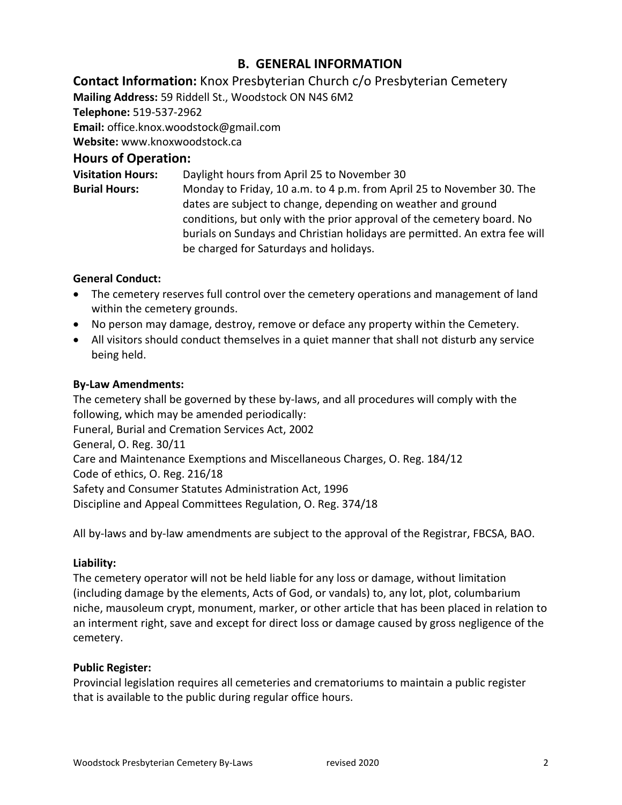# **B. GENERAL INFORMATION**

**Contact Information:** Knox Presbyterian Church c/o Presbyterian Cemetery

**Mailing Address:** 59 Riddell St., Woodstock ON N4S 6M2

**Telephone:** 519-537-2962

**Email:** office.knox.woodstock@gmail.com

**Website:** www.knoxwoodstock.ca

# **Hours of Operation:**

**Visitation Hours:** Daylight hours from April 25 to November 30 **Burial Hours:** Monday to Friday, 10 a.m. to 4 p.m. from April 25 to November 30. The dates are subject to change, depending on weather and ground conditions, but only with the prior approval of the cemetery board. No burials on Sundays and Christian holidays are permitted. An extra fee will be charged for Saturdays and holidays.

#### **General Conduct:**

- The cemetery reserves full control over the cemetery operations and management of land within the cemetery grounds.
- No person may damage, destroy, remove or deface any property within the Cemetery.
- All visitors should conduct themselves in a quiet manner that shall not disturb any service being held.

#### **By-Law Amendments:**

The cemetery shall be governed by these by-laws, and all procedures will comply with the following, which may be amended periodically: Funeral, Burial and Cremation Services Act, 2002 General, O. Reg. 30/11 Care and Maintenance Exemptions and Miscellaneous Charges, O. Reg. 184/12 Code of ethics, O. Reg. 216/18 Safety and Consumer Statutes Administration Act, 1996 Discipline and Appeal Committees Regulation, O. Reg. 374/18

All by-laws and by-law amendments are subject to the approval of the Registrar, FBCSA, BAO.

#### **Liability:**

The cemetery operator will not be held liable for any loss or damage, without limitation (including damage by the elements, Acts of God, or vandals) to, any lot, plot, columbarium niche, mausoleum crypt, monument, marker, or other article that has been placed in relation to an interment right, save and except for direct loss or damage caused by gross negligence of the cemetery.

# **Public Register:**

Provincial legislation requires all cemeteries and crematoriums to maintain a public register that is available to the public during regular office hours.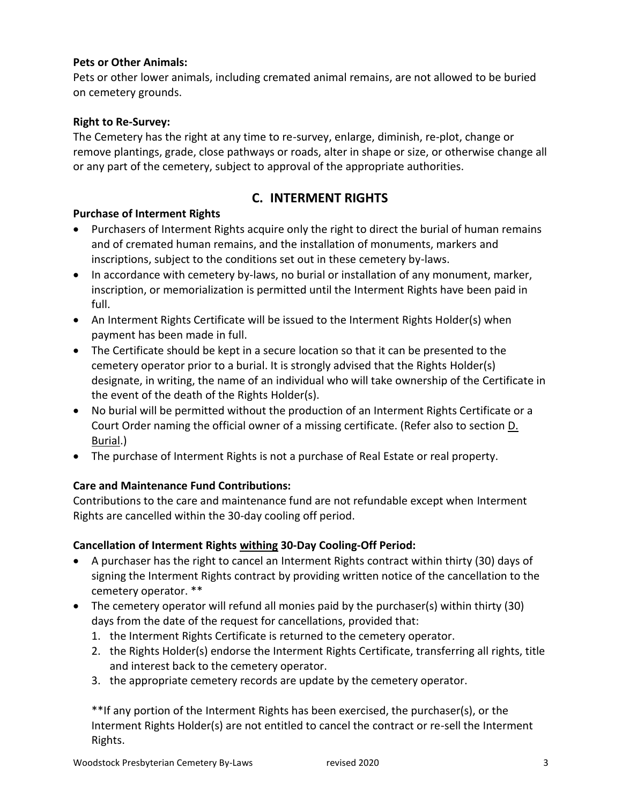#### **Pets or Other Animals:**

Pets or other lower animals, including cremated animal remains, are not allowed to be buried on cemetery grounds.

#### **Right to Re-Survey:**

The Cemetery has the right at any time to re-survey, enlarge, diminish, re-plot, change or remove plantings, grade, close pathways or roads, alter in shape or size, or otherwise change all or any part of the cemetery, subject to approval of the appropriate authorities.

# **C. INTERMENT RIGHTS**

#### **Purchase of Interment Rights**

- Purchasers of Interment Rights acquire only the right to direct the burial of human remains and of cremated human remains, and the installation of monuments, markers and inscriptions, subject to the conditions set out in these cemetery by-laws.
- In accordance with cemetery by-laws, no burial or installation of any monument, marker, inscription, or memorialization is permitted until the Interment Rights have been paid in full.
- An Interment Rights Certificate will be issued to the Interment Rights Holder(s) when payment has been made in full.
- The Certificate should be kept in a secure location so that it can be presented to the cemetery operator prior to a burial. It is strongly advised that the Rights Holder(s) designate, in writing, the name of an individual who will take ownership of the Certificate in the event of the death of the Rights Holder(s).
- No burial will be permitted without the production of an Interment Rights Certificate or a Court Order naming the official owner of a missing certificate. (Refer also to section D. Burial.)
- The purchase of Interment Rights is not a purchase of Real Estate or real property.

#### **Care and Maintenance Fund Contributions:**

Contributions to the care and maintenance fund are not refundable except when Interment Rights are cancelled within the 30-day cooling off period.

#### **Cancellation of Interment Rights withing 30-Day Cooling-Off Period:**

- A purchaser has the right to cancel an Interment Rights contract within thirty (30) days of signing the Interment Rights contract by providing written notice of the cancellation to the cemetery operator. \*\*
- The cemetery operator will refund all monies paid by the purchaser(s) within thirty (30) days from the date of the request for cancellations, provided that:
	- 1. the Interment Rights Certificate is returned to the cemetery operator.
	- 2. the Rights Holder(s) endorse the Interment Rights Certificate, transferring all rights, title and interest back to the cemetery operator.
	- 3. the appropriate cemetery records are update by the cemetery operator.

\*\*If any portion of the Interment Rights has been exercised, the purchaser(s), or the Interment Rights Holder(s) are not entitled to cancel the contract or re-sell the Interment Rights.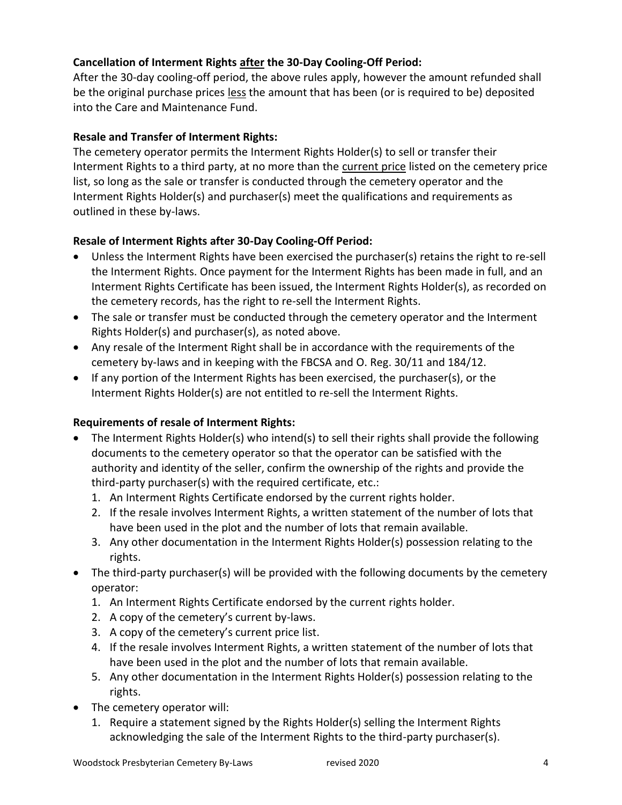#### **Cancellation of Interment Rights after the 30-Day Cooling-Off Period:**

After the 30-day cooling-off period, the above rules apply, however the amount refunded shall be the original purchase prices less the amount that has been (or is required to be) deposited into the Care and Maintenance Fund.

#### **Resale and Transfer of Interment Rights:**

The cemetery operator permits the Interment Rights Holder(s) to sell or transfer their Interment Rights to a third party, at no more than the current price listed on the cemetery price list, so long as the sale or transfer is conducted through the cemetery operator and the Interment Rights Holder(s) and purchaser(s) meet the qualifications and requirements as outlined in these by-laws.

#### **Resale of Interment Rights after 30-Day Cooling-Off Period:**

- Unless the Interment Rights have been exercised the purchaser(s) retains the right to re-sell the Interment Rights. Once payment for the Interment Rights has been made in full, and an Interment Rights Certificate has been issued, the Interment Rights Holder(s), as recorded on the cemetery records, has the right to re-sell the Interment Rights.
- The sale or transfer must be conducted through the cemetery operator and the Interment Rights Holder(s) and purchaser(s), as noted above.
- Any resale of the Interment Right shall be in accordance with the requirements of the cemetery by-laws and in keeping with the FBCSA and O. Reg. 30/11 and 184/12.
- If any portion of the Interment Rights has been exercised, the purchaser(s), or the Interment Rights Holder(s) are not entitled to re-sell the Interment Rights.

# **Requirements of resale of Interment Rights:**

- The Interment Rights Holder(s) who intend(s) to sell their rights shall provide the following documents to the cemetery operator so that the operator can be satisfied with the authority and identity of the seller, confirm the ownership of the rights and provide the third-party purchaser(s) with the required certificate, etc.:
	- 1. An Interment Rights Certificate endorsed by the current rights holder.
	- 2. If the resale involves Interment Rights, a written statement of the number of lots that have been used in the plot and the number of lots that remain available.
	- 3. Any other documentation in the Interment Rights Holder(s) possession relating to the rights.
- The third-party purchaser(s) will be provided with the following documents by the cemetery operator:
	- 1. An Interment Rights Certificate endorsed by the current rights holder.
	- 2. A copy of the cemetery's current by-laws.
	- 3. A copy of the cemetery's current price list.
	- 4. If the resale involves Interment Rights, a written statement of the number of lots that have been used in the plot and the number of lots that remain available.
	- 5. Any other documentation in the Interment Rights Holder(s) possession relating to the rights.
- The cemetery operator will:
	- 1. Require a statement signed by the Rights Holder(s) selling the Interment Rights acknowledging the sale of the Interment Rights to the third-party purchaser(s).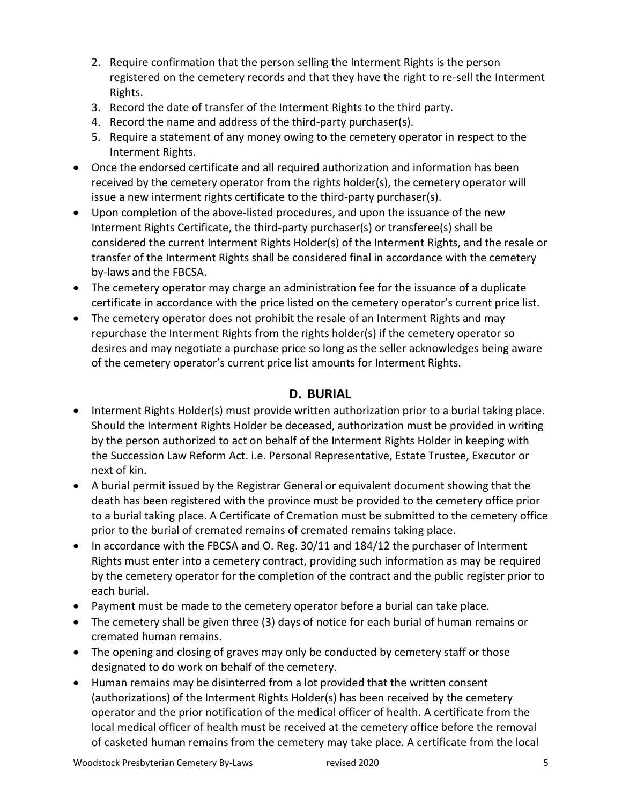- 2. Require confirmation that the person selling the Interment Rights is the person registered on the cemetery records and that they have the right to re-sell the Interment Rights.
- 3. Record the date of transfer of the Interment Rights to the third party.
- 4. Record the name and address of the third-party purchaser(s).
- 5. Require a statement of any money owing to the cemetery operator in respect to the Interment Rights.
- Once the endorsed certificate and all required authorization and information has been received by the cemetery operator from the rights holder(s), the cemetery operator will issue a new interment rights certificate to the third-party purchaser(s).
- Upon completion of the above-listed procedures, and upon the issuance of the new Interment Rights Certificate, the third-party purchaser(s) or transferee(s) shall be considered the current Interment Rights Holder(s) of the Interment Rights, and the resale or transfer of the Interment Rights shall be considered final in accordance with the cemetery by-laws and the FBCSA.
- The cemetery operator may charge an administration fee for the issuance of a duplicate certificate in accordance with the price listed on the cemetery operator's current price list.
- The cemetery operator does not prohibit the resale of an Interment Rights and may repurchase the Interment Rights from the rights holder(s) if the cemetery operator so desires and may negotiate a purchase price so long as the seller acknowledges being aware of the cemetery operator's current price list amounts for Interment Rights.

#### **D. BURIAL**

- Interment Rights Holder(s) must provide written authorization prior to a burial taking place. Should the Interment Rights Holder be deceased, authorization must be provided in writing by the person authorized to act on behalf of the Interment Rights Holder in keeping with the Succession Law Reform Act. i.e. Personal Representative, Estate Trustee, Executor or next of kin.
- A burial permit issued by the Registrar General or equivalent document showing that the death has been registered with the province must be provided to the cemetery office prior to a burial taking place. A Certificate of Cremation must be submitted to the cemetery office prior to the burial of cremated remains of cremated remains taking place.
- In accordance with the FBCSA and O. Reg. 30/11 and 184/12 the purchaser of Interment Rights must enter into a cemetery contract, providing such information as may be required by the cemetery operator for the completion of the contract and the public register prior to each burial.
- Payment must be made to the cemetery operator before a burial can take place.
- The cemetery shall be given three (3) days of notice for each burial of human remains or cremated human remains.
- The opening and closing of graves may only be conducted by cemetery staff or those designated to do work on behalf of the cemetery.
- Human remains may be disinterred from a lot provided that the written consent (authorizations) of the Interment Rights Holder(s) has been received by the cemetery operator and the prior notification of the medical officer of health. A certificate from the local medical officer of health must be received at the cemetery office before the removal of casketed human remains from the cemetery may take place. A certificate from the local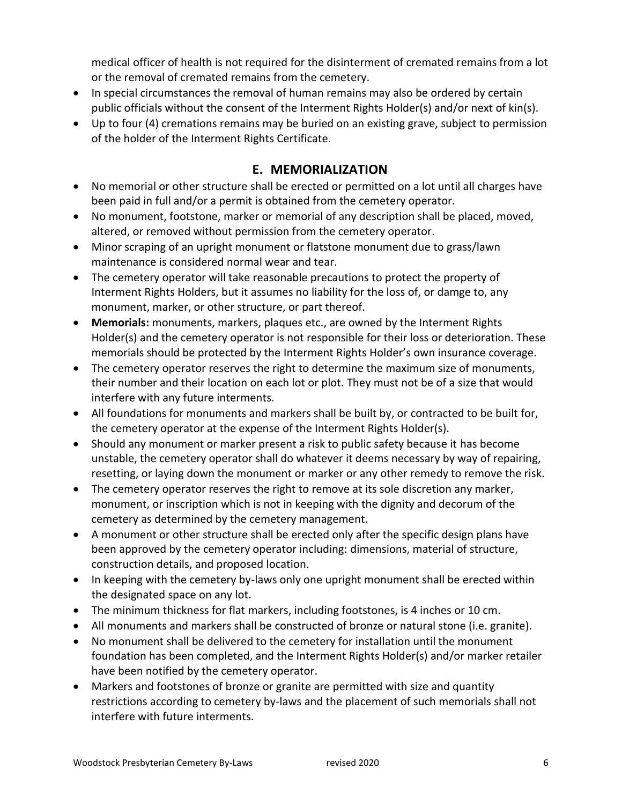medical officer of health is not required for the disinterment of cremated remains from a lot or the removal of cremated remains from the cemetery.

- In special circumstances the removal of human remains may also be ordered by certain public officials without the consent of the Interment Rights Holder(s) and/or next of kin(s).
- Up to four (4) cremations remains may be buried on an existing grave, subject to permission of the holder of the Interment Rights Certificate.

# **E. MEMORIALIZATION**

- No memorial or other structure shall be erected or permitted on a lot until all charges have been paid in full and/or a permit is obtained from the cemetery operator.
- No monument, footstone, marker or memorial of any description shall be placed, moved, altered, or removed without permission from the cemetery operator.
- Minor scraping of an upright monument or flatstone monument due to grass/lawn maintenance is considered normal wear and tear.
- The cemetery operator will take reasonable precautions to protect the property of Interment Rights Holders, but it assumes no liability for the loss of, or damge to, any monument, marker, or other structure, or part thereof.
- **Memorials:** monuments, markers, plaques etc., are owned by the Interment Rights Holder(s) and the cemetery operator is not responsible for their loss or deterioration. These memorials should be protected by the Interment Rights Holder's own insurance coverage.
- The cemetery operator reserves the right to determine the maximum size of monuments, their number and their location on each lot or plot. They must not be of a size that would interfere with any future interments.
- All foundations for monuments and markers shall be built by, or contracted to be built for, the cemetery operator at the expense of the Interment Rights Holder(s).
- Should any monument or marker present a risk to public safety because it has become unstable, the cemetery operator shall do whatever it deems necessary by way of repairing, resetting, or laying down the monument or marker or any other remedy to remove the risk.
- The cemetery operator reserves the right to remove at its sole discretion any marker, monument, or inscription which is not in keeping with the dignity and decorum of the cemetery as determined by the cemetery management.
- A monument or other structure shall be erected only after the specific design plans have been approved by the cemetery operator including: dimensions, material of structure, construction details, and proposed location.
- In keeping with the cemetery by-laws only one upright monument shall be erected within the designated space on any lot.
- The minimum thickness for flat markers, including footstones, is 4 inches or 10 cm.
- All monuments and markers shall be constructed of bronze or natural stone (i.e. granite).
- No monument shall be delivered to the cemetery for installation until the monument foundation has been completed, and the Interment Rights Holder(s) and/or marker retailer have been notified by the cemetery operator.
- Markers and footstones of bronze or granite are permitted with size and quantity restrictions according to cemetery by-laws and the placement of such memorials shall not interfere with future interments.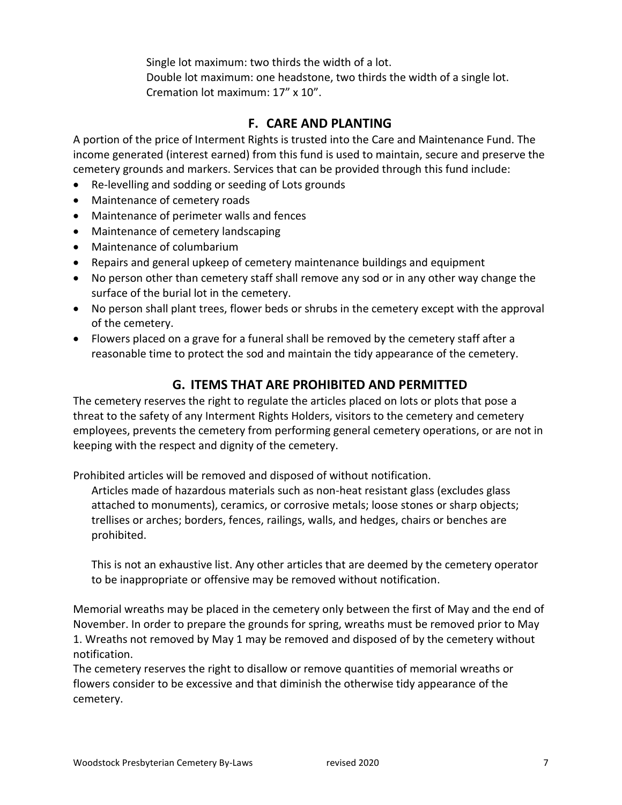Single lot maximum: two thirds the width of a lot. Double lot maximum: one headstone, two thirds the width of a single lot. Cremation lot maximum: 17" x 10".

# **F. CARE AND PLANTING**

A portion of the price of Interment Rights is trusted into the Care and Maintenance Fund. The income generated (interest earned) from this fund is used to maintain, secure and preserve the cemetery grounds and markers. Services that can be provided through this fund include:

- Re-levelling and sodding or seeding of Lots grounds
- Maintenance of cemetery roads
- Maintenance of perimeter walls and fences
- Maintenance of cemetery landscaping
- Maintenance of columbarium
- Repairs and general upkeep of cemetery maintenance buildings and equipment
- No person other than cemetery staff shall remove any sod or in any other way change the surface of the burial lot in the cemetery.
- No person shall plant trees, flower beds or shrubs in the cemetery except with the approval of the cemetery.
- Flowers placed on a grave for a funeral shall be removed by the cemetery staff after a reasonable time to protect the sod and maintain the tidy appearance of the cemetery.

# **G. ITEMS THAT ARE PROHIBITED AND PERMITTED**

The cemetery reserves the right to regulate the articles placed on lots or plots that pose a threat to the safety of any Interment Rights Holders, visitors to the cemetery and cemetery employees, prevents the cemetery from performing general cemetery operations, or are not in keeping with the respect and dignity of the cemetery.

Prohibited articles will be removed and disposed of without notification.

Articles made of hazardous materials such as non-heat resistant glass (excludes glass attached to monuments), ceramics, or corrosive metals; loose stones or sharp objects; trellises or arches; borders, fences, railings, walls, and hedges, chairs or benches are prohibited.

This is not an exhaustive list. Any other articles that are deemed by the cemetery operator to be inappropriate or offensive may be removed without notification.

Memorial wreaths may be placed in the cemetery only between the first of May and the end of November. In order to prepare the grounds for spring, wreaths must be removed prior to May 1. Wreaths not removed by May 1 may be removed and disposed of by the cemetery without notification.

The cemetery reserves the right to disallow or remove quantities of memorial wreaths or flowers consider to be excessive and that diminish the otherwise tidy appearance of the cemetery.